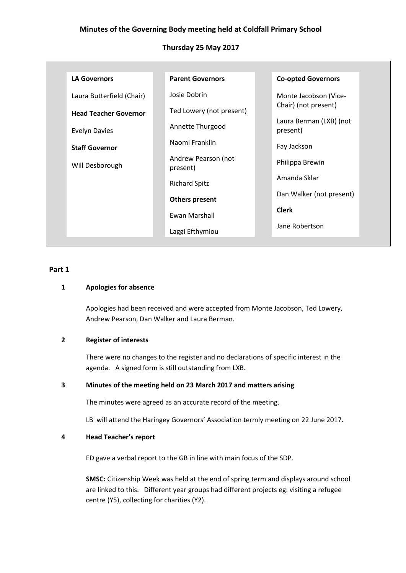# **Minutes of the Governing Body meeting held at Coldfall Primary School**

## **Thursday 25 May 2017**

| <b>LA Governors</b>          | <b>Parent Governors</b>         | <b>Co-opted Governors</b>           |
|------------------------------|---------------------------------|-------------------------------------|
| Laura Butterfield (Chair)    | Josie Dobrin                    | Monte Jacobson (Vice-               |
| <b>Head Teacher Governor</b> | Ted Lowery (not present)        | Chair) (not present)                |
| <b>Evelyn Davies</b>         | Annette Thurgood                | Laura Berman (LXB) (not<br>present) |
| <b>Staff Governor</b>        | Naomi Franklin                  | Fay Jackson                         |
| Will Desborough              | Andrew Pearson (not<br>present) | Philippa Brewin                     |
|                              | <b>Richard Spitz</b>            | Amanda Sklar                        |
|                              | <b>Others present</b>           | Dan Walker (not present)            |
|                              | Ewan Marshall                   | <b>Clerk</b>                        |
|                              | Laggi Efthymiou                 | Jane Robertson                      |

#### **Part 1**

### **1 Apologies for absence**

Apologies had been received and were accepted from Monte Jacobson, Ted Lowery, Andrew Pearson, Dan Walker and Laura Berman.

### **2 Register of interests**

There were no changes to the register and no declarations of specific interest in the agenda. A signed form is still outstanding from LXB.

# **3 Minutes of the meeting held on 23 March 2017 and matters arising**

The minutes were agreed as an accurate record of the meeting.

LB will attend the Haringey Governors' Association termly meeting on 22 June 2017.

#### **4 Head Teacher's report**

ED gave a verbal report to the GB in line with main focus of the SDP.

**SMSC:** Citizenship Week was held at the end of spring term and displays around school are linked to this. Different year groups had different projects eg: visiting a refugee centre (Y5), collecting for charities (Y2).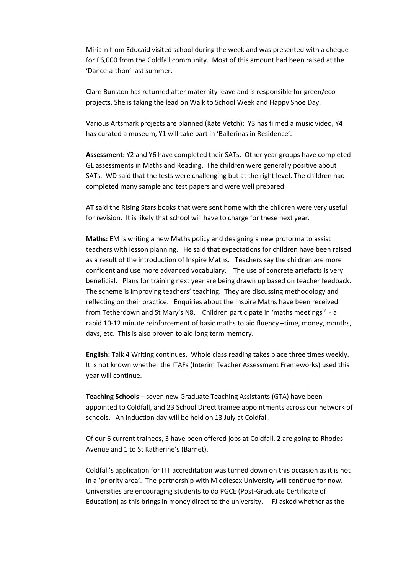Miriam from Educaid visited school during the week and was presented with a cheque for £6,000 from the Coldfall community. Most of this amount had been raised at the 'Dance-a-thon' last summer.

Clare Bunston has returned after maternity leave and is responsible for green/eco projects. She is taking the lead on Walk to School Week and Happy Shoe Day.

Various Artsmark projects are planned (Kate Vetch): Y3 has filmed a music video, Y4 has curated a museum, Y1 will take part in 'Ballerinas in Residence'.

**Assessment:** Y2 and Y6 have completed their SATs. Other year groups have completed GL assessments in Maths and Reading. The children were generally positive about SATs. WD said that the tests were challenging but at the right level. The children had completed many sample and test papers and were well prepared.

AT said the Rising Stars books that were sent home with the children were very useful for revision. It is likely that school will have to charge for these next year.

**Maths:** EM is writing a new Maths policy and designing a new proforma to assist teachers with lesson planning. He said that expectations for children have been raised as a result of the introduction of Inspire Maths. Teachers say the children are more confident and use more advanced vocabulary. The use of concrete artefacts is very beneficial. Plans for training next year are being drawn up based on teacher feedback. The scheme is improving teachers' teaching. They are discussing methodology and reflecting on their practice. Enquiries about the Inspire Maths have been received from Tetherdown and St Mary's N8. Children participate in 'maths meetings ' - a rapid 10-12 minute reinforcement of basic maths to aid fluency –time, money, months, days, etc. This is also proven to aid long term memory.

**English:** Talk 4 Writing continues. Whole class reading takes place three times weekly. It is not known whether the ITAFs (Interim Teacher Assessment Frameworks) used this year will continue.

**Teaching Schools** – seven new Graduate Teaching Assistants (GTA) have been appointed to Coldfall, and 23 School Direct trainee appointments across our network of schools. An induction day will be held on 13 July at Coldfall.

Of our 6 current trainees, 3 have been offered jobs at Coldfall, 2 are going to Rhodes Avenue and 1 to St Katherine's (Barnet).

Coldfall's application for ITT accreditation was turned down on this occasion as it is not in a 'priority area'. The partnership with Middlesex University will continue for now. Universities are encouraging students to do PGCE (Post-Graduate Certificate of Education) as this brings in money direct to the university. FJ asked whether as the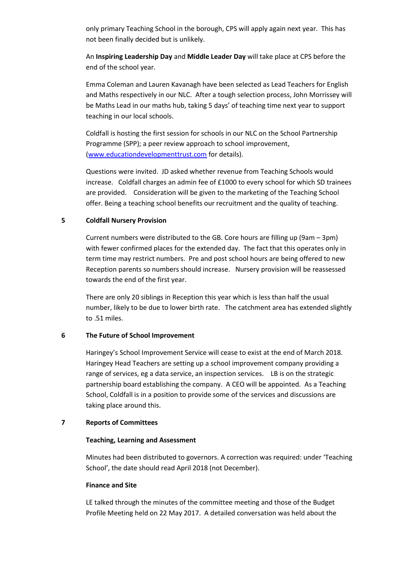only primary Teaching School in the borough, CPS will apply again next year. This has not been finally decided but is unlikely.

An **Inspiring Leadership Day** and **Middle Leader Day** will take place at CPS before the end of the school year.

Emma Coleman and Lauren Kavanagh have been selected as Lead Teachers for English and Maths respectively in our NLC. After a tough selection process, John Morrissey will be Maths Lead in our maths hub, taking 5 days' of teaching time next year to support teaching in our local schools.

Coldfall is hosting the first session for schools in our NLC on the School Partnership Programme (SPP); a peer review approach to school improvement, [\(www.educationdevelopmenttrust.com](http://www.educationdevelopmenttrust.com/) for details).

Questions were invited. JD asked whether revenue from Teaching Schools would increase. Coldfall charges an admin fee of £1000 to every school for which SD trainees are provided. Consideration will be given to the marketing of the Teaching School offer. Being a teaching school benefits our recruitment and the quality of teaching.

## **5 Coldfall Nursery Provision**

Current numbers were distributed to the GB. Core hours are filling up (9am – 3pm) with fewer confirmed places for the extended day. The fact that this operates only in term time may restrict numbers. Pre and post school hours are being offered to new Reception parents so numbers should increase. Nursery provision will be reassessed towards the end of the first year.

There are only 20 siblings in Reception this year which is less than half the usual number, likely to be due to lower birth rate. The catchment area has extended slightly to .51 miles.

### **6 The Future of School Improvement**

Haringey's School Improvement Service will cease to exist at the end of March 2018. Haringey Head Teachers are setting up a school improvement company providing a range of services, eg a data service, an inspection services. LB is on the strategic partnership board establishing the company. A CEO will be appointed. As a Teaching School, Coldfall is in a position to provide some of the services and discussions are taking place around this.

### **7 Reports of Committees**

### **Teaching, Learning and Assessment**

Minutes had been distributed to governors. A correction was required: under 'Teaching School', the date should read April 2018 (not December).

### **Finance and Site**

LE talked through the minutes of the committee meeting and those of the Budget Profile Meeting held on 22 May 2017. A detailed conversation was held about the